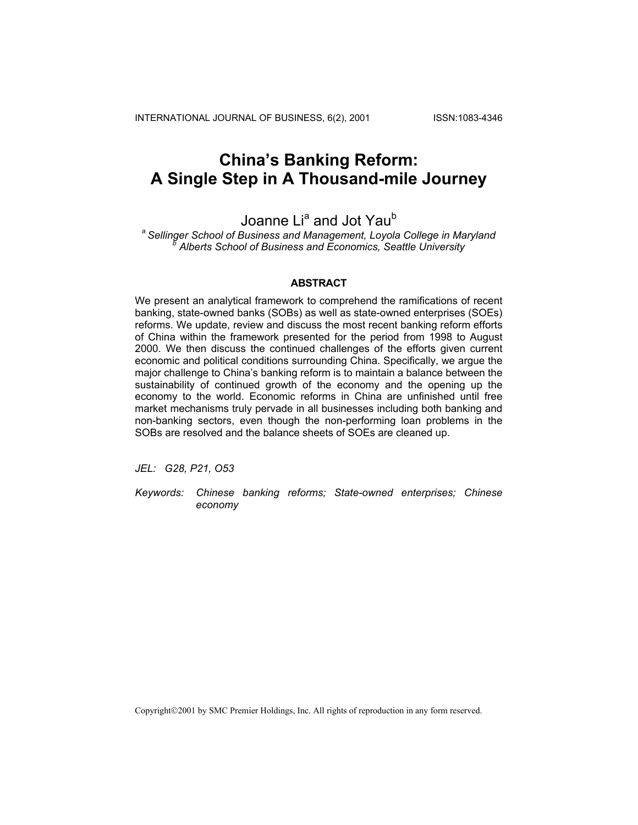INTERNATIONAL JOURNAL OF BUSINESS, 6(2), 2001 ISSN:1083-4346

# **China's Banking Reform: A Single Step in A Thousand-mile Journey**

## Joanne Li<sup>a</sup> and Jot Yau<sup>b</sup>

<sup>a</sup> Sellinger School of Business and Management, Loyola College in Maryland  *Alberts School of Business and Economics, Seattle University* 

## **ABSTRACT**

We present an analytical framework to comprehend the ramifications of recent banking, state-owned banks (SOBs) as well as state-owned enterprises (SOEs) reforms. We update, review and discuss the most recent banking reform efforts of China within the framework presented for the period from 1998 to August 2000. We then discuss the continued challenges of the efforts given current economic and political conditions surrounding China. Specifically, we argue the major challenge to China's banking reform is to maintain a balance between the sustainability of continued growth of the economy and the opening up the economy to the world. Economic reforms in China are unfinished until free market mechanisms truly pervade in all businesses including both banking and non-banking sectors, even though the non-performing loan problems in the SOBs are resolved and the balance sheets of SOEs are cleaned up.

*JEL: G28, P21, O53* 

*Keywords: Chinese banking reforms; State-owned enterprises; Chinese economy* 

Copyright©2001 by SMC Premier Holdings, Inc. All rights of reproduction in any form reserved.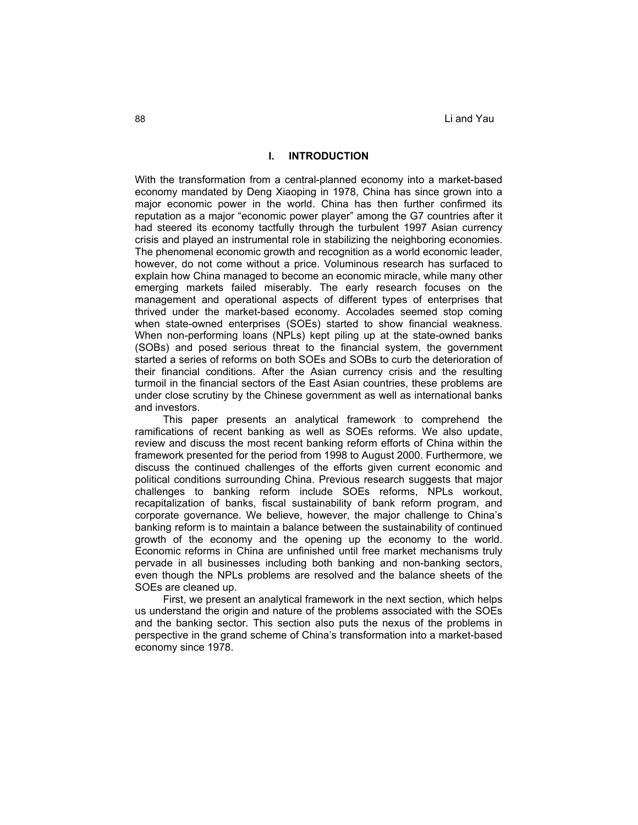## **I. INTRODUCTION**

With the transformation from a central-planned economy into a market-based economy mandated by Deng Xiaoping in 1978, China has since grown into a major economic power in the world. China has then further confirmed its reputation as a major "economic power player" among the G7 countries after it had steered its economy tactfully through the turbulent 1997 Asian currency crisis and played an instrumental role in stabilizing the neighboring economies. The phenomenal economic growth and recognition as a world economic leader, however, do not come without a price. Voluminous research has surfaced to explain how China managed to become an economic miracle, while many other emerging markets failed miserably. The early research focuses on the management and operational aspects of different types of enterprises that thrived under the market-based economy. Accolades seemed stop coming when state-owned enterprises (SOEs) started to show financial weakness. When non-performing loans (NPLs) kept piling up at the state-owned banks (SOBs) and posed serious threat to the financial system, the government started a series of reforms on both SOEs and SOBs to curb the deterioration of their financial conditions. After the Asian currency crisis and the resulting turmoil in the financial sectors of the East Asian countries, these problems are under close scrutiny by the Chinese government as well as international banks and investors.

This paper presents an analytical framework to comprehend the ramifications of recent banking as well as SOEs reforms. We also update, review and discuss the most recent banking reform efforts of China within the framework presented for the period from 1998 to August 2000. Furthermore, we discuss the continued challenges of the efforts given current economic and political conditions surrounding China. Previous research suggests that major challenges to banking reform include SOEs reforms, NPLs workout, recapitalization of banks, fiscal sustainability of bank reform program, and corporate governance. We believe, however, the major challenge to China's banking reform is to maintain a balance between the sustainability of continued growth of the economy and the opening up the economy to the world. Economic reforms in China are unfinished until free market mechanisms truly pervade in all businesses including both banking and non-banking sectors, even though the NPLs problems are resolved and the balance sheets of the SOEs are cleaned up.

First, we present an analytical framework in the next section, which helps us understand the origin and nature of the problems associated with the SOEs and the banking sector. This section also puts the nexus of the problems in perspective in the grand scheme of China's transformation into a market-based economy since 1978.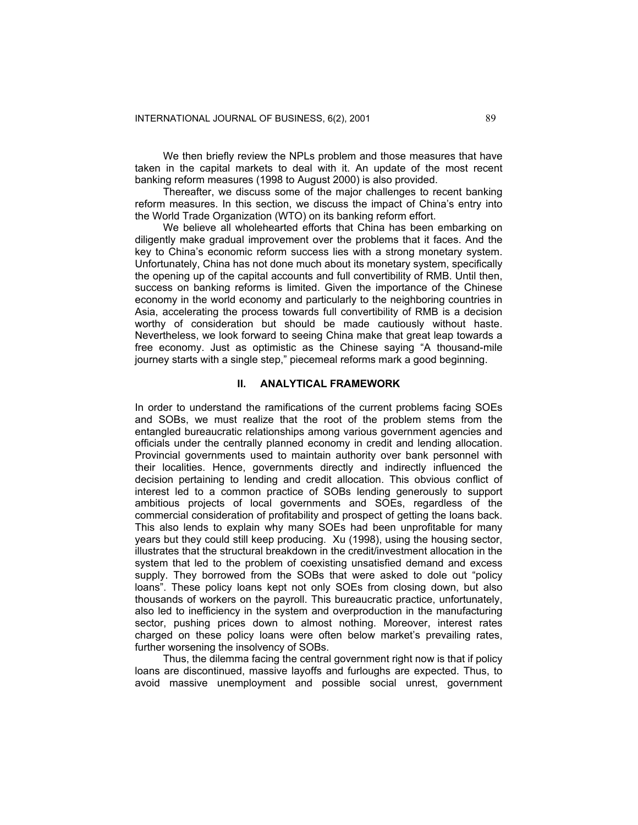We then briefly review the NPLs problem and those measures that have taken in the capital markets to deal with it. An update of the most recent banking reform measures (1998 to August 2000) is also provided.

Thereafter, we discuss some of the major challenges to recent banking reform measures. In this section, we discuss the impact of China's entry into the World Trade Organization (WTO) on its banking reform effort.

We believe all wholehearted efforts that China has been embarking on diligently make gradual improvement over the problems that it faces. And the key to China's economic reform success lies with a strong monetary system. Unfortunately, China has not done much about its monetary system, specifically the opening up of the capital accounts and full convertibility of RMB. Until then, success on banking reforms is limited. Given the importance of the Chinese economy in the world economy and particularly to the neighboring countries in Asia, accelerating the process towards full convertibility of RMB is a decision worthy of consideration but should be made cautiously without haste. Nevertheless, we look forward to seeing China make that great leap towards a free economy. Just as optimistic as the Chinese saying "A thousand-mile journey starts with a single step," piecemeal reforms mark a good beginning.

## **II. ANALYTICAL FRAMEWORK**

In order to understand the ramifications of the current problems facing SOEs and SOBs, we must realize that the root of the problem stems from the entangled bureaucratic relationships among various government agencies and officials under the centrally planned economy in credit and lending allocation. Provincial governments used to maintain authority over bank personnel with their localities. Hence, governments directly and indirectly influenced the decision pertaining to lending and credit allocation. This obvious conflict of interest led to a common practice of SOBs lending generously to support ambitious projects of local governments and SOEs, regardless of the commercial consideration of profitability and prospect of getting the loans back. This also lends to explain why many SOEs had been unprofitable for many years but they could still keep producing. Xu (1998), using the housing sector, illustrates that the structural breakdown in the credit/investment allocation in the system that led to the problem of coexisting unsatisfied demand and excess supply. They borrowed from the SOBs that were asked to dole out "policy loans". These policy loans kept not only SOEs from closing down, but also thousands of workers on the payroll. This bureaucratic practice, unfortunately, also led to inefficiency in the system and overproduction in the manufacturing sector, pushing prices down to almost nothing. Moreover, interest rates charged on these policy loans were often below market's prevailing rates, further worsening the insolvency of SOBs.

Thus, the dilemma facing the central government right now is that if policy loans are discontinued, massive layoffs and furloughs are expected. Thus, to avoid massive unemployment and possible social unrest, government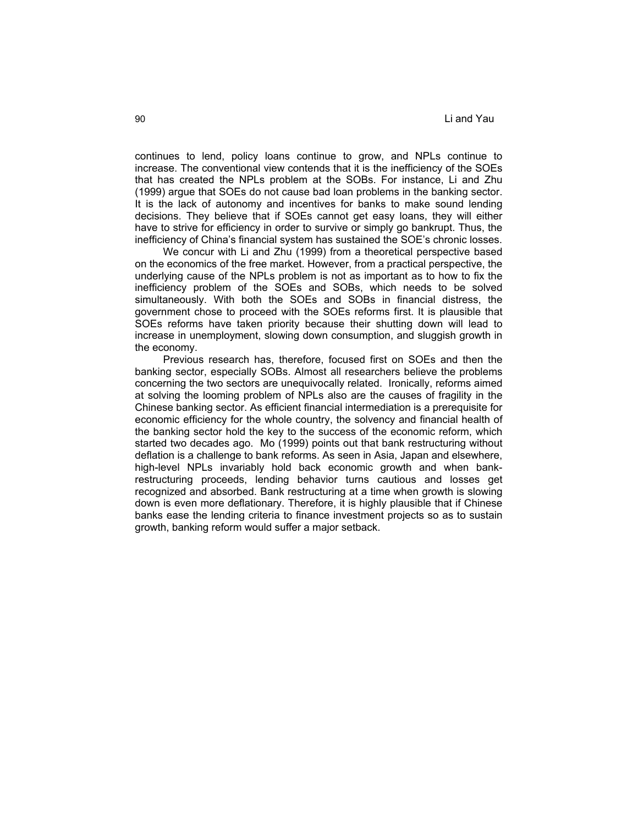continues to lend, policy loans continue to grow, and NPLs continue to increase. The conventional view contends that it is the inefficiency of the SOEs that has created the NPLs problem at the SOBs. For instance, Li and Zhu (1999) argue that SOEs do not cause bad loan problems in the banking sector. It is the lack of autonomy and incentives for banks to make sound lending decisions. They believe that if SOEs cannot get easy loans, they will either have to strive for efficiency in order to survive or simply go bankrupt. Thus, the inefficiency of China's financial system has sustained the SOE's chronic losses.

We concur with Li and Zhu (1999) from a theoretical perspective based on the economics of the free market. However, from a practical perspective, the underlying cause of the NPLs problem is not as important as to how to fix the inefficiency problem of the SOEs and SOBs, which needs to be solved simultaneously. With both the SOEs and SOBs in financial distress, the government chose to proceed with the SOEs reforms first. It is plausible that SOEs reforms have taken priority because their shutting down will lead to increase in unemployment, slowing down consumption, and sluggish growth in the economy.

Previous research has, therefore, focused first on SOEs and then the banking sector, especially SOBs. Almost all researchers believe the problems concerning the two sectors are unequivocally related. Ironically, reforms aimed at solving the looming problem of NPLs also are the causes of fragility in the Chinese banking sector. As efficient financial intermediation is a prerequisite for economic efficiency for the whole country, the solvency and financial health of the banking sector hold the key to the success of the economic reform, which started two decades ago. Mo (1999) points out that bank restructuring without deflation is a challenge to bank reforms. As seen in Asia, Japan and elsewhere, high-level NPLs invariably hold back economic growth and when bankrestructuring proceeds, lending behavior turns cautious and losses get recognized and absorbed. Bank restructuring at a time when growth is slowing down is even more deflationary. Therefore, it is highly plausible that if Chinese banks ease the lending criteria to finance investment projects so as to sustain growth, banking reform would suffer a major setback.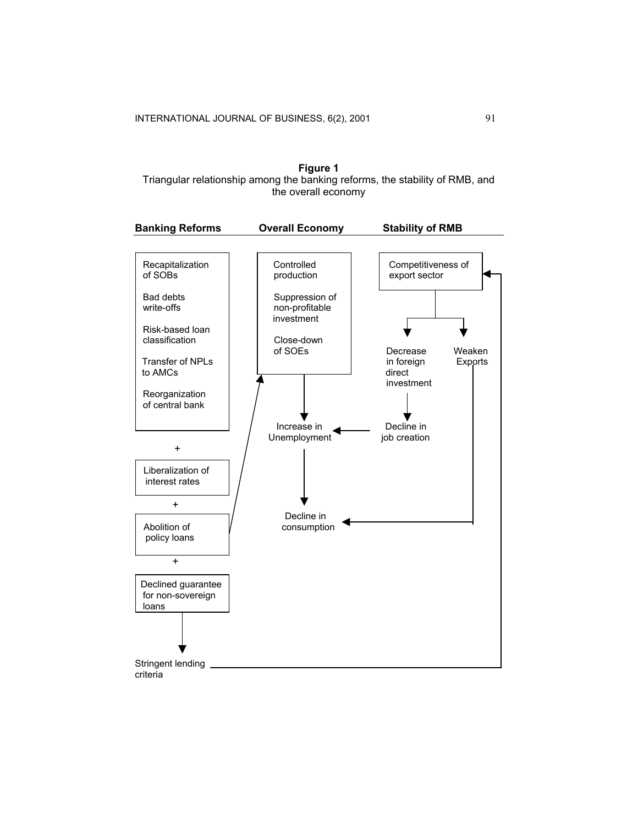

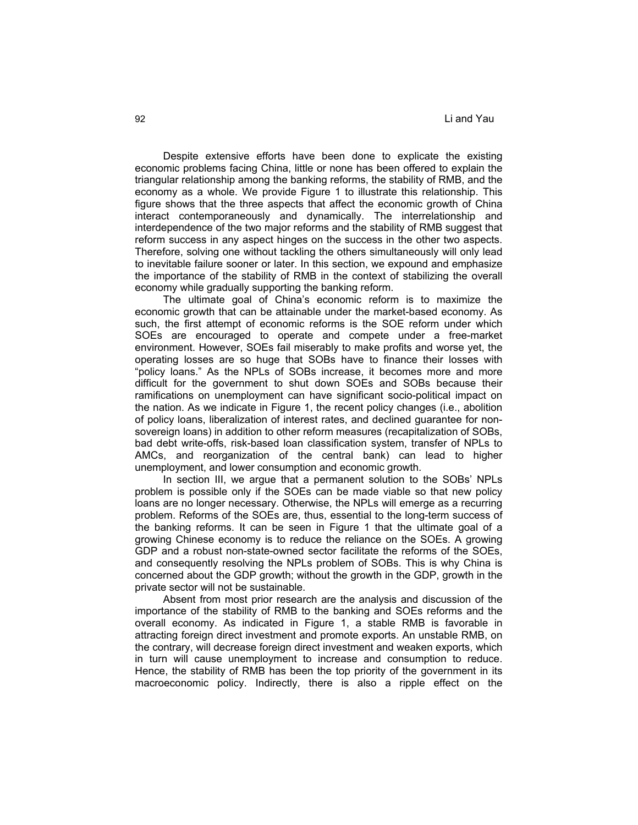Despite extensive efforts have been done to explicate the existing economic problems facing China, little or none has been offered to explain the triangular relationship among the banking reforms, the stability of RMB, and the economy as a whole. We provide Figure 1 to illustrate this relationship. This figure shows that the three aspects that affect the economic growth of China interact contemporaneously and dynamically. The interrelationship and interdependence of the two major reforms and the stability of RMB suggest that reform success in any aspect hinges on the success in the other two aspects. Therefore, solving one without tackling the others simultaneously will only lead to inevitable failure sooner or later. In this section, we expound and emphasize the importance of the stability of RMB in the context of stabilizing the overall economy while gradually supporting the banking reform.

The ultimate goal of China's economic reform is to maximize the economic growth that can be attainable under the market-based economy. As such, the first attempt of economic reforms is the SOE reform under which SOEs are encouraged to operate and compete under a free-market environment. However, SOEs fail miserably to make profits and worse yet, the operating losses are so huge that SOBs have to finance their losses with "policy loans." As the NPLs of SOBs increase, it becomes more and more difficult for the government to shut down SOEs and SOBs because their ramifications on unemployment can have significant socio-political impact on the nation. As we indicate in Figure 1, the recent policy changes (i.e., abolition of policy loans, liberalization of interest rates, and declined guarantee for nonsovereign loans) in addition to other reform measures (recapitalization of SOBs, bad debt write-offs, risk-based loan classification system, transfer of NPLs to AMCs, and reorganization of the central bank) can lead to higher unemployment, and lower consumption and economic growth.

In section III, we argue that a permanent solution to the SOBs' NPLs problem is possible only if the SOEs can be made viable so that new policy loans are no longer necessary. Otherwise, the NPLs will emerge as a recurring problem. Reforms of the SOEs are, thus, essential to the long-term success of the banking reforms. It can be seen in Figure 1 that the ultimate goal of a growing Chinese economy is to reduce the reliance on the SOEs. A growing GDP and a robust non-state-owned sector facilitate the reforms of the SOEs, and consequently resolving the NPLs problem of SOBs. This is why China is concerned about the GDP growth; without the growth in the GDP, growth in the private sector will not be sustainable.

Absent from most prior research are the analysis and discussion of the importance of the stability of RMB to the banking and SOEs reforms and the overall economy. As indicated in Figure 1, a stable RMB is favorable in attracting foreign direct investment and promote exports. An unstable RMB, on the contrary, will decrease foreign direct investment and weaken exports, which in turn will cause unemployment to increase and consumption to reduce. Hence, the stability of RMB has been the top priority of the government in its macroeconomic policy. Indirectly, there is also a ripple effect on the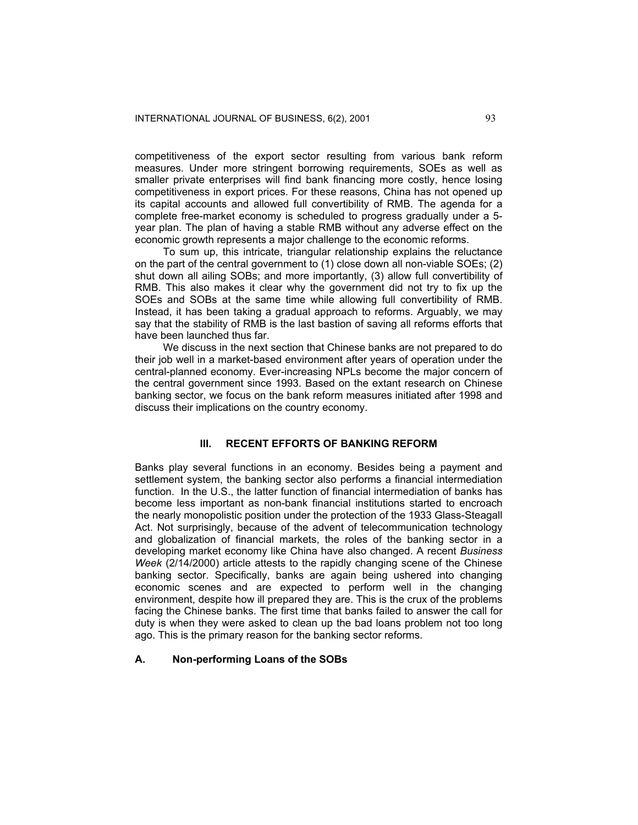competitiveness of the export sector resulting from various bank reform measures. Under more stringent borrowing requirements, SOEs as well as smaller private enterprises will find bank financing more costly, hence losing competitiveness in export prices. For these reasons, China has not opened up its capital accounts and allowed full convertibility of RMB. The agenda for a complete free-market economy is scheduled to progress gradually under a 5 year plan. The plan of having a stable RMB without any adverse effect on the economic growth represents a major challenge to the economic reforms.

To sum up, this intricate, triangular relationship explains the reluctance on the part of the central government to (1) close down all non-viable SOEs; (2) shut down all ailing SOBs; and more importantly, (3) allow full convertibility of RMB. This also makes it clear why the government did not try to fix up the SOEs and SOBs at the same time while allowing full convertibility of RMB. Instead, it has been taking a gradual approach to reforms. Arguably, we may say that the stability of RMB is the last bastion of saving all reforms efforts that have been launched thus far.

We discuss in the next section that Chinese banks are not prepared to do their job well in a market-based environment after years of operation under the central-planned economy. Ever-increasing NPLs become the major concern of the central government since 1993. Based on the extant research on Chinese banking sector, we focus on the bank reform measures initiated after 1998 and discuss their implications on the country economy.

### **III. RECENT EFFORTS OF BANKING REFORM**

Banks play several functions in an economy. Besides being a payment and settlement system, the banking sector also performs a financial intermediation function. In the U.S., the latter function of financial intermediation of banks has become less important as non-bank financial institutions started to encroach the nearly monopolistic position under the protection of the 1933 Glass-Steagall Act. Not surprisingly, because of the advent of telecommunication technology and globalization of financial markets, the roles of the banking sector in a developing market economy like China have also changed. A recent *Business Week* (2/14/2000) article attests to the rapidly changing scene of the Chinese banking sector. Specifically, banks are again being ushered into changing economic scenes and are expected to perform well in the changing environment, despite how ill prepared they are. This is the crux of the problems facing the Chinese banks. The first time that banks failed to answer the call for duty is when they were asked to clean up the bad loans problem not too long ago. This is the primary reason for the banking sector reforms.

## **A. Non-performing Loans of the SOBs**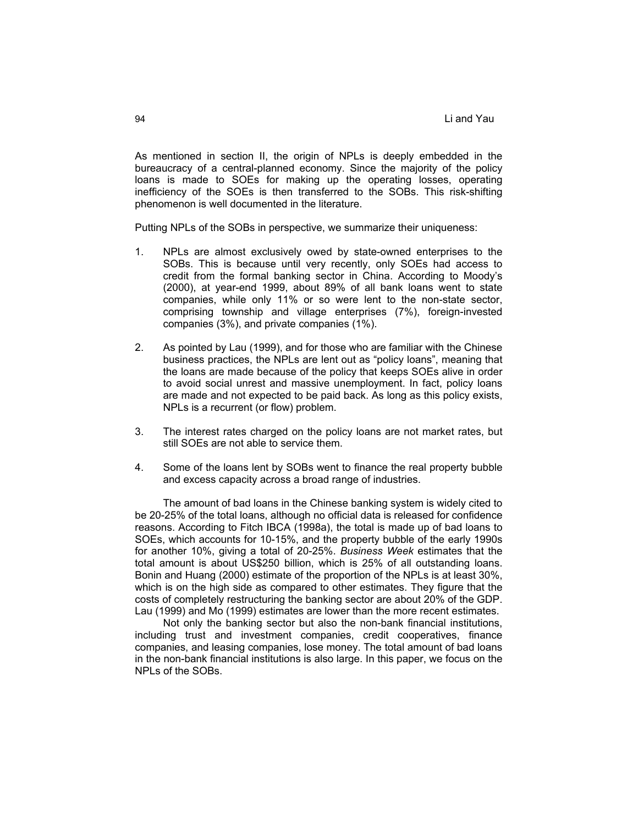As mentioned in section II, the origin of NPLs is deeply embedded in the bureaucracy of a central-planned economy. Since the majority of the policy loans is made to SOEs for making up the operating losses, operating inefficiency of the SOEs is then transferred to the SOBs. This risk-shifting phenomenon is well documented in the literature.

Putting NPLs of the SOBs in perspective, we summarize their uniqueness:

- 1. NPLs are almost exclusively owed by state-owned enterprises to the SOBs. This is because until very recently, only SOEs had access to credit from the formal banking sector in China. According to Moody's (2000), at year-end 1999, about 89% of all bank loans went to state companies, while only 11% or so were lent to the non-state sector, comprising township and village enterprises (7%), foreign-invested companies (3%), and private companies (1%).
- 2. As pointed by Lau (1999), and for those who are familiar with the Chinese business practices, the NPLs are lent out as "policy loans", meaning that the loans are made because of the policy that keeps SOEs alive in order to avoid social unrest and massive unemployment. In fact, policy loans are made and not expected to be paid back. As long as this policy exists, NPLs is a recurrent (or flow) problem.
- 3. The interest rates charged on the policy loans are not market rates, but still SOEs are not able to service them.
- 4. Some of the loans lent by SOBs went to finance the real property bubble and excess capacity across a broad range of industries.

The amount of bad loans in the Chinese banking system is widely cited to be 20-25% of the total loans, although no official data is released for confidence reasons. According to Fitch IBCA (1998a), the total is made up of bad loans to SOEs, which accounts for 10-15%, and the property bubble of the early 1990s for another 10%, giving a total of 20-25%. *Business Week* estimates that the total amount is about US\$250 billion, which is 25% of all outstanding loans. Bonin and Huang (2000) estimate of the proportion of the NPLs is at least 30%, which is on the high side as compared to other estimates. They figure that the costs of completely restructuring the banking sector are about 20% of the GDP. Lau (1999) and Mo (1999) estimates are lower than the more recent estimates.

Not only the banking sector but also the non-bank financial institutions, including trust and investment companies, credit cooperatives, finance companies, and leasing companies, lose money. The total amount of bad loans in the non-bank financial institutions is also large. In this paper, we focus on the NPLs of the SOBs.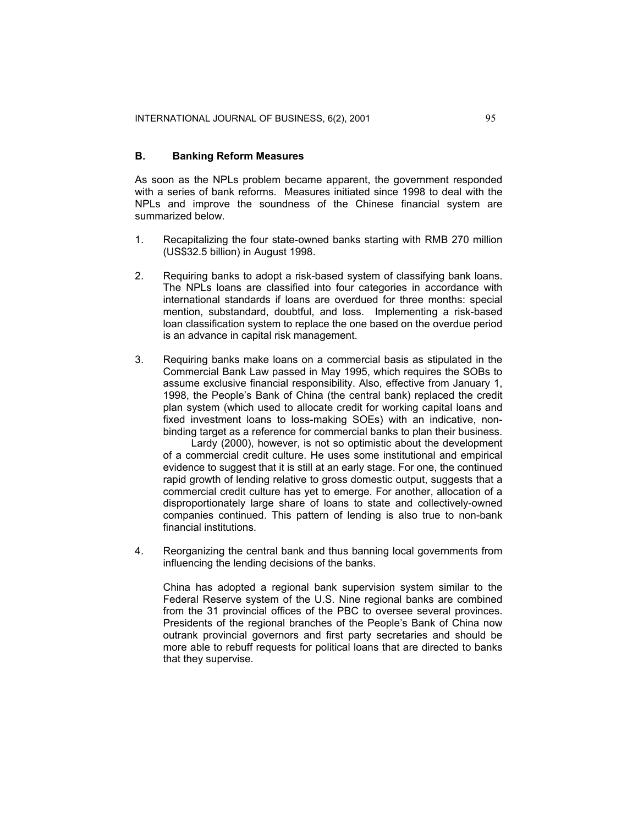## **B. Banking Reform Measures**

As soon as the NPLs problem became apparent, the government responded with a series of bank reforms. Measures initiated since 1998 to deal with the NPLs and improve the soundness of the Chinese financial system are summarized below.

- 1. Recapitalizing the four state-owned banks starting with RMB 270 million (US\$32.5 billion) in August 1998.
- 2. Requiring banks to adopt a risk-based system of classifying bank loans. The NPLs loans are classified into four categories in accordance with international standards if loans are overdued for three months: special mention, substandard, doubtful, and loss. Implementing a risk-based loan classification system to replace the one based on the overdue period is an advance in capital risk management.
- 3. Requiring banks make loans on a commercial basis as stipulated in the Commercial Bank Law passed in May 1995, which requires the SOBs to assume exclusive financial responsibility. Also, effective from January 1, 1998, the People's Bank of China (the central bank) replaced the credit plan system (which used to allocate credit for working capital loans and fixed investment loans to loss-making SOEs) with an indicative, nonbinding target as a reference for commercial banks to plan their business. Lardy (2000), however, is not so optimistic about the development

of a commercial credit culture. He uses some institutional and empirical evidence to suggest that it is still at an early stage. For one, the continued rapid growth of lending relative to gross domestic output, suggests that a commercial credit culture has yet to emerge. For another, allocation of a disproportionately large share of loans to state and collectively-owned companies continued. This pattern of lending is also true to non-bank financial institutions.

4. Reorganizing the central bank and thus banning local governments from influencing the lending decisions of the banks.

China has adopted a regional bank supervision system similar to the Federal Reserve system of the U.S. Nine regional banks are combined from the 31 provincial offices of the PBC to oversee several provinces. Presidents of the regional branches of the People's Bank of China now outrank provincial governors and first party secretaries and should be more able to rebuff requests for political loans that are directed to banks that they supervise.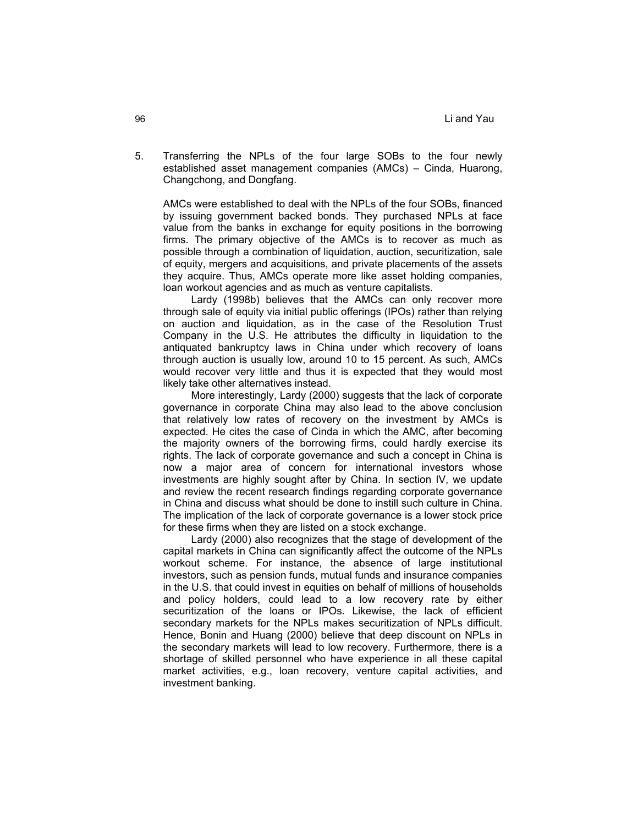5. Transferring the NPLs of the four large SOBs to the four newly established asset management companies (AMCs) – Cinda, Huarong, Changchong, and Dongfang.

AMCs were established to deal with the NPLs of the four SOBs, financed by issuing government backed bonds. They purchased NPLs at face value from the banks in exchange for equity positions in the borrowing firms. The primary objective of the AMCs is to recover as much as possible through a combination of liquidation, auction, securitization, sale of equity, mergers and acquisitions, and private placements of the assets they acquire. Thus, AMCs operate more like asset holding companies, loan workout agencies and as much as venture capitalists.

Lardy (1998b) believes that the AMCs can only recover more through sale of equity via initial public offerings (IPOs) rather than relying on auction and liquidation, as in the case of the Resolution Trust Company in the U.S. He attributes the difficulty in liquidation to the antiquated bankruptcy laws in China under which recovery of loans through auction is usually low, around 10 to 15 percent. As such, AMCs would recover very little and thus it is expected that they would most likely take other alternatives instead.

More interestingly, Lardy (2000) suggests that the lack of corporate governance in corporate China may also lead to the above conclusion that relatively low rates of recovery on the investment by AMCs is expected. He cites the case of Cinda in which the AMC, after becoming the majority owners of the borrowing firms, could hardly exercise its rights. The lack of corporate governance and such a concept in China is now a major area of concern for international investors whose investments are highly sought after by China. In section IV, we update and review the recent research findings regarding corporate governance in China and discuss what should be done to instill such culture in China. The implication of the lack of corporate governance is a lower stock price for these firms when they are listed on a stock exchange.

Lardy (2000) also recognizes that the stage of development of the capital markets in China can significantly affect the outcome of the NPLs workout scheme. For instance, the absence of large institutional investors, such as pension funds, mutual funds and insurance companies in the U.S. that could invest in equities on behalf of millions of households and policy holders, could lead to a low recovery rate by either securitization of the loans or IPOs. Likewise, the lack of efficient secondary markets for the NPLs makes securitization of NPLs difficult. Hence, Bonin and Huang (2000) believe that deep discount on NPLs in the secondary markets will lead to low recovery. Furthermore, there is a shortage of skilled personnel who have experience in all these capital market activities, e.g., loan recovery, venture capital activities, and investment banking.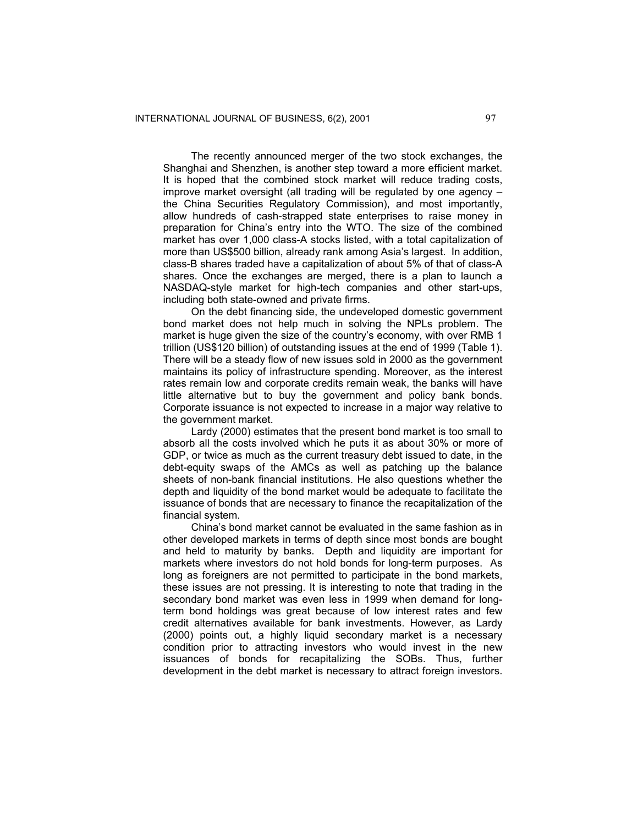The recently announced merger of the two stock exchanges, the Shanghai and Shenzhen, is another step toward a more efficient market. It is hoped that the combined stock market will reduce trading costs, improve market oversight (all trading will be regulated by one agency – the China Securities Regulatory Commission), and most importantly, allow hundreds of cash-strapped state enterprises to raise money in preparation for China's entry into the WTO. The size of the combined market has over 1,000 class-A stocks listed, with a total capitalization of more than US\$500 billion, already rank among Asia's largest. In addition, class-B shares traded have a capitalization of about 5% of that of class-A shares. Once the exchanges are merged, there is a plan to launch a NASDAQ-style market for high-tech companies and other start-ups, including both state-owned and private firms.

On the debt financing side, the undeveloped domestic government bond market does not help much in solving the NPLs problem. The market is huge given the size of the country's economy, with over RMB 1 trillion (US\$120 billion) of outstanding issues at the end of 1999 (Table 1). There will be a steady flow of new issues sold in 2000 as the government maintains its policy of infrastructure spending. Moreover, as the interest rates remain low and corporate credits remain weak, the banks will have little alternative but to buy the government and policy bank bonds. Corporate issuance is not expected to increase in a major way relative to the government market.

Lardy (2000) estimates that the present bond market is too small to absorb all the costs involved which he puts it as about 30% or more of GDP, or twice as much as the current treasury debt issued to date, in the debt-equity swaps of the AMCs as well as patching up the balance sheets of non-bank financial institutions. He also questions whether the depth and liquidity of the bond market would be adequate to facilitate the issuance of bonds that are necessary to finance the recapitalization of the financial system.

China's bond market cannot be evaluated in the same fashion as in other developed markets in terms of depth since most bonds are bought and held to maturity by banks. Depth and liquidity are important for markets where investors do not hold bonds for long-term purposes. As long as foreigners are not permitted to participate in the bond markets, these issues are not pressing. It is interesting to note that trading in the secondary bond market was even less in 1999 when demand for longterm bond holdings was great because of low interest rates and few credit alternatives available for bank investments. However, as Lardy (2000) points out, a highly liquid secondary market is a necessary condition prior to attracting investors who would invest in the new issuances of bonds for recapitalizing the SOBs. Thus, further development in the debt market is necessary to attract foreign investors.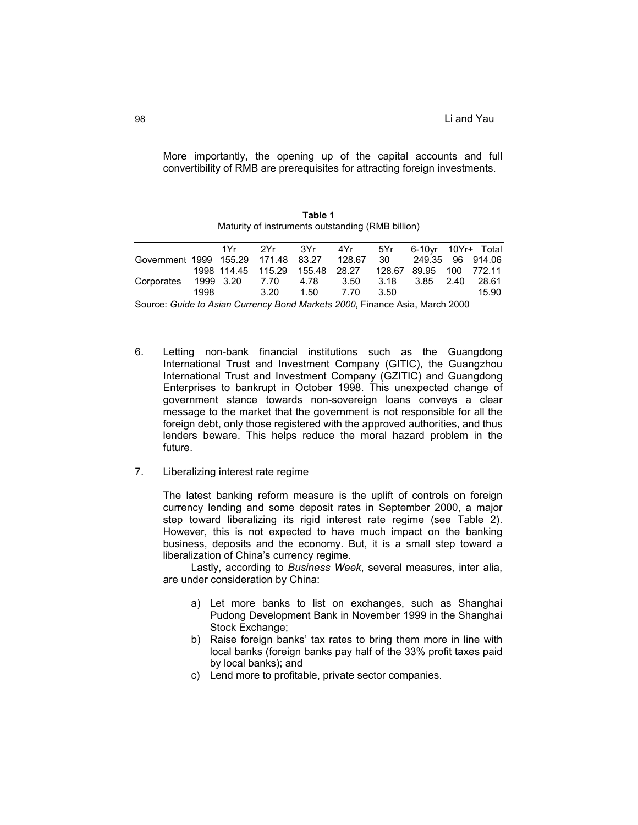More importantly, the opening up of the capital accounts and full convertibility of RMB are prerequisites for attracting foreign investments.

|                                     |      |                    |           |        | Maturity of instruments outstanding (RMB billion) |        |                  |      |       |
|-------------------------------------|------|--------------------|-----------|--------|---------------------------------------------------|--------|------------------|------|-------|
|                                     |      |                    |           |        | 1Yr 2Yr 3Yr 4Yr 5Yr 6-10yr-10Yr+Total             |        |                  |      |       |
| Government 1999 155.29 171.48 83.27 |      |                    |           |        | 128.67                                            | - 30   | 249.35 96 914.06 |      |       |
|                                     |      | 1998 114.45 115.29 |           | 155.48 | 28.27                                             | 128.67 | 89.95 100 772.11 |      |       |
| Corporates                          |      | 1999 3.20          | 7.70 4.78 |        | 3.50                                              | 3.18   | 3.85             | 2.40 | 28.61 |
|                                     | 1998 |                    | 3.20      | 1.50   | 7.70                                              | 3.50   |                  |      | 15.90 |

**Table 1**

Source: *Guide to Asian Currency Bond Markets 2000*, Finance Asia, March 2000

- 6. Letting non-bank financial institutions such as the Guangdong International Trust and Investment Company (GITIC), the Guangzhou International Trust and Investment Company (GZITIC) and Guangdong Enterprises to bankrupt in October 1998. This unexpected change of government stance towards non-sovereign loans conveys a clear message to the market that the government is not responsible for all the foreign debt, only those registered with the approved authorities, and thus lenders beware. This helps reduce the moral hazard problem in the future.
- 7. Liberalizing interest rate regime

The latest banking reform measure is the uplift of controls on foreign currency lending and some deposit rates in September 2000, a major step toward liberalizing its rigid interest rate regime (see Table 2). However, this is not expected to have much impact on the banking business, deposits and the economy. But, it is a small step toward a liberalization of China's currency regime.

Lastly, according to *Business Week*, several measures, inter alia, are under consideration by China:

- a) Let more banks to list on exchanges, such as Shanghai Pudong Development Bank in November 1999 in the Shanghai Stock Exchange:
- b) Raise foreign banks' tax rates to bring them more in line with local banks (foreign banks pay half of the 33% profit taxes paid by local banks); and
- c) Lend more to profitable, private sector companies.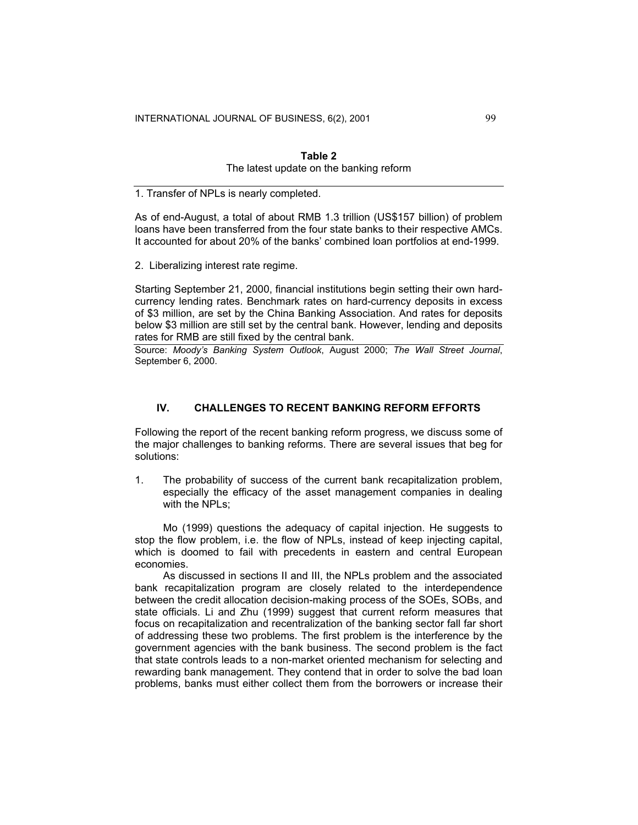| Table 2                                 |  |  |  |  |  |  |  |  |
|-----------------------------------------|--|--|--|--|--|--|--|--|
| The latest update on the banking reform |  |  |  |  |  |  |  |  |

1. Transfer of NPLs is nearly completed.

As of end-August, a total of about RMB 1.3 trillion (US\$157 billion) of problem loans have been transferred from the four state banks to their respective AMCs. It accounted for about 20% of the banks' combined loan portfolios at end-1999.

2. Liberalizing interest rate regime.

Starting September 21, 2000, financial institutions begin setting their own hardcurrency lending rates. Benchmark rates on hard-currency deposits in excess of \$3 million, are set by the China Banking Association. And rates for deposits below \$3 million are still set by the central bank. However, lending and deposits rates for RMB are still fixed by the central bank.

Source: *Moody's Banking System Outlook*, August 2000; *The Wall Street Journal*, September 6, 2000.

## **IV. CHALLENGES TO RECENT BANKING REFORM EFFORTS**

Following the report of the recent banking reform progress, we discuss some of the major challenges to banking reforms. There are several issues that beg for solutions:

1. The probability of success of the current bank recapitalization problem, especially the efficacy of the asset management companies in dealing with the NPLs;

Mo (1999) questions the adequacy of capital injection. He suggests to stop the flow problem, i.e. the flow of NPLs, instead of keep injecting capital, which is doomed to fail with precedents in eastern and central European economies.

As discussed in sections II and III, the NPLs problem and the associated bank recapitalization program are closely related to the interdependence between the credit allocation decision-making process of the SOEs, SOBs, and state officials. Li and Zhu (1999) suggest that current reform measures that focus on recapitalization and recentralization of the banking sector fall far short of addressing these two problems. The first problem is the interference by the government agencies with the bank business. The second problem is the fact that state controls leads to a non-market oriented mechanism for selecting and rewarding bank management. They contend that in order to solve the bad loan problems, banks must either collect them from the borrowers or increase their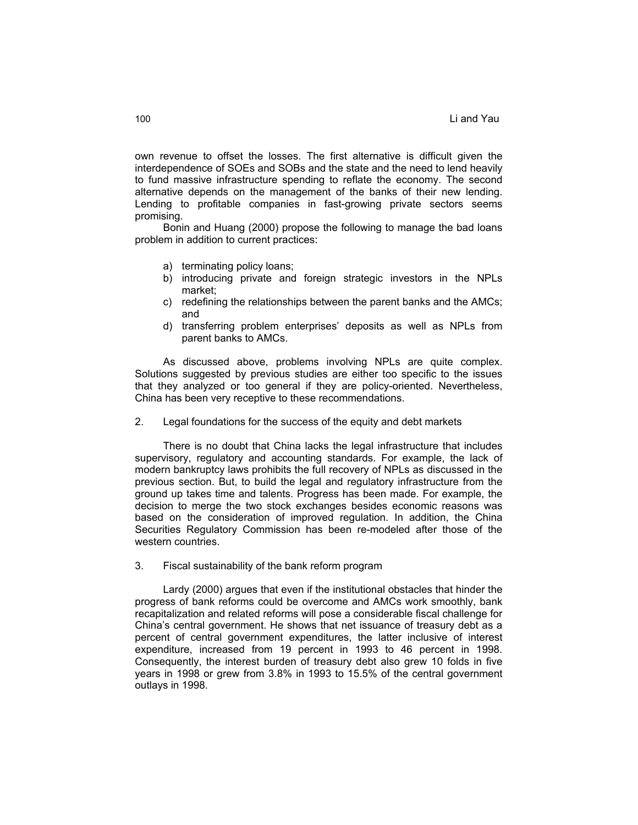own revenue to offset the losses. The first alternative is difficult given the interdependence of SOEs and SOBs and the state and the need to lend heavily to fund massive infrastructure spending to reflate the economy. The second alternative depends on the management of the banks of their new lending. Lending to profitable companies in fast-growing private sectors seems promising.

Bonin and Huang (2000) propose the following to manage the bad loans problem in addition to current practices:

- a) terminating policy loans;
- b) introducing private and foreign strategic investors in the NPLs market;
- c) redefining the relationships between the parent banks and the AMCs; and
- d) transferring problem enterprises' deposits as well as NPLs from parent banks to AMCs.

As discussed above, problems involving NPLs are quite complex. Solutions suggested by previous studies are either too specific to the issues that they analyzed or too general if they are policy-oriented. Nevertheless, China has been very receptive to these recommendations.

2. Legal foundations for the success of the equity and debt markets

There is no doubt that China lacks the legal infrastructure that includes supervisory, regulatory and accounting standards. For example, the lack of modern bankruptcy laws prohibits the full recovery of NPLs as discussed in the previous section. But, to build the legal and regulatory infrastructure from the ground up takes time and talents. Progress has been made. For example, the decision to merge the two stock exchanges besides economic reasons was based on the consideration of improved regulation. In addition, the China Securities Regulatory Commission has been re-modeled after those of the western countries.

3. Fiscal sustainability of the bank reform program

Lardy (2000) argues that even if the institutional obstacles that hinder the progress of bank reforms could be overcome and AMCs work smoothly, bank recapitalization and related reforms will pose a considerable fiscal challenge for China's central government. He shows that net issuance of treasury debt as a percent of central government expenditures, the latter inclusive of interest expenditure, increased from 19 percent in 1993 to 46 percent in 1998. Consequently, the interest burden of treasury debt also grew 10 folds in five years in 1998 or grew from 3.8% in 1993 to 15.5% of the central government outlays in 1998.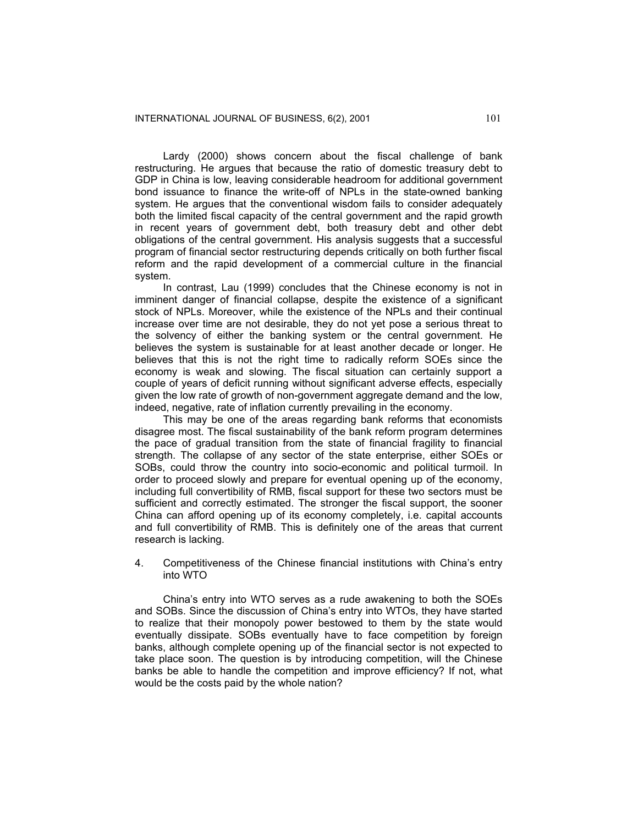Lardy (2000) shows concern about the fiscal challenge of bank restructuring. He argues that because the ratio of domestic treasury debt to GDP in China is low, leaving considerable headroom for additional government bond issuance to finance the write-off of NPLs in the state-owned banking system. He argues that the conventional wisdom fails to consider adequately both the limited fiscal capacity of the central government and the rapid growth in recent years of government debt, both treasury debt and other debt obligations of the central government. His analysis suggests that a successful program of financial sector restructuring depends critically on both further fiscal reform and the rapid development of a commercial culture in the financial system.

In contrast, Lau (1999) concludes that the Chinese economy is not in imminent danger of financial collapse, despite the existence of a significant stock of NPLs. Moreover, while the existence of the NPLs and their continual increase over time are not desirable, they do not yet pose a serious threat to the solvency of either the banking system or the central government. He believes the system is sustainable for at least another decade or longer. He believes that this is not the right time to radically reform SOEs since the economy is weak and slowing. The fiscal situation can certainly support a couple of years of deficit running without significant adverse effects, especially given the low rate of growth of non-government aggregate demand and the low, indeed, negative, rate of inflation currently prevailing in the economy.

This may be one of the areas regarding bank reforms that economists disagree most. The fiscal sustainability of the bank reform program determines the pace of gradual transition from the state of financial fragility to financial strength. The collapse of any sector of the state enterprise, either SOEs or SOBs, could throw the country into socio-economic and political turmoil. In order to proceed slowly and prepare for eventual opening up of the economy, including full convertibility of RMB, fiscal support for these two sectors must be sufficient and correctly estimated. The stronger the fiscal support, the sooner China can afford opening up of its economy completely, i.e. capital accounts and full convertibility of RMB. This is definitely one of the areas that current research is lacking.

4. Competitiveness of the Chinese financial institutions with China's entry into WTO

China's entry into WTO serves as a rude awakening to both the SOEs and SOBs. Since the discussion of China's entry into WTOs, they have started to realize that their monopoly power bestowed to them by the state would eventually dissipate. SOBs eventually have to face competition by foreign banks, although complete opening up of the financial sector is not expected to take place soon. The question is by introducing competition, will the Chinese banks be able to handle the competition and improve efficiency? If not, what would be the costs paid by the whole nation?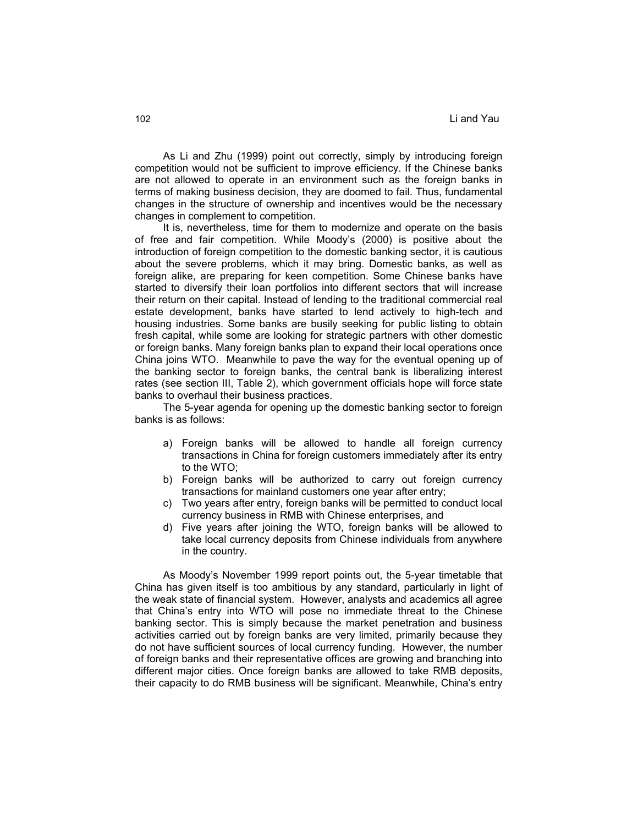As Li and Zhu (1999) point out correctly, simply by introducing foreign competition would not be sufficient to improve efficiency. If the Chinese banks are not allowed to operate in an environment such as the foreign banks in terms of making business decision, they are doomed to fail. Thus, fundamental changes in the structure of ownership and incentives would be the necessary changes in complement to competition.

It is, nevertheless, time for them to modernize and operate on the basis of free and fair competition. While Moody's (2000) is positive about the introduction of foreign competition to the domestic banking sector, it is cautious about the severe problems, which it may bring. Domestic banks, as well as foreign alike, are preparing for keen competition. Some Chinese banks have started to diversify their loan portfolios into different sectors that will increase their return on their capital. Instead of lending to the traditional commercial real estate development, banks have started to lend actively to high-tech and housing industries. Some banks are busily seeking for public listing to obtain fresh capital, while some are looking for strategic partners with other domestic or foreign banks. Many foreign banks plan to expand their local operations once China joins WTO. Meanwhile to pave the way for the eventual opening up of the banking sector to foreign banks, the central bank is liberalizing interest rates (see section III, Table 2), which government officials hope will force state banks to overhaul their business practices.

The 5-year agenda for opening up the domestic banking sector to foreign banks is as follows:

- a) Foreign banks will be allowed to handle all foreign currency transactions in China for foreign customers immediately after its entry to the WTO;
- b) Foreign banks will be authorized to carry out foreign currency transactions for mainland customers one year after entry;
- c) Two years after entry, foreign banks will be permitted to conduct local currency business in RMB with Chinese enterprises, and
- d) Five years after joining the WTO, foreign banks will be allowed to take local currency deposits from Chinese individuals from anywhere in the country.

As Moody's November 1999 report points out, the 5-year timetable that China has given itself is too ambitious by any standard, particularly in light of the weak state of financial system. However, analysts and academics all agree that China's entry into WTO will pose no immediate threat to the Chinese banking sector. This is simply because the market penetration and business activities carried out by foreign banks are very limited, primarily because they do not have sufficient sources of local currency funding. However, the number of foreign banks and their representative offices are growing and branching into different major cities. Once foreign banks are allowed to take RMB deposits, their capacity to do RMB business will be significant. Meanwhile, China's entry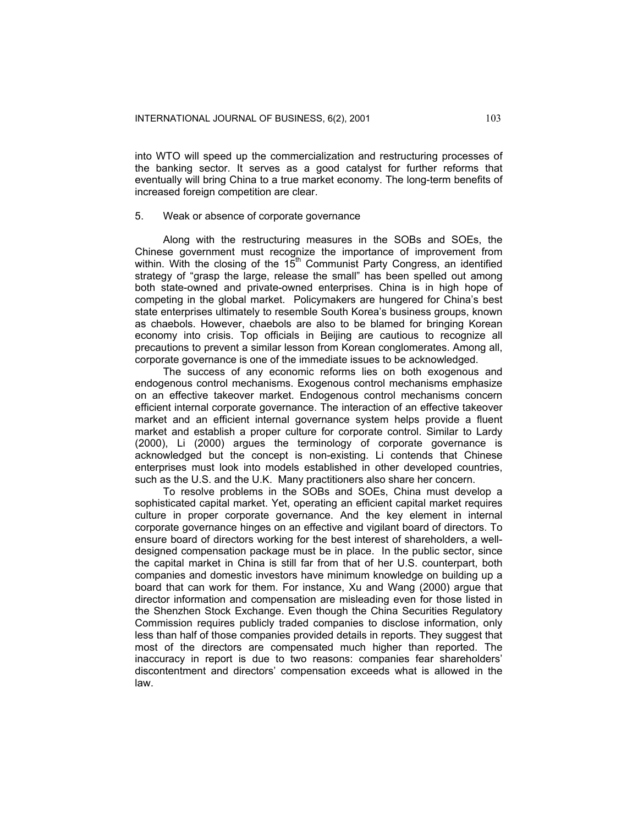into WTO will speed up the commercialization and restructuring processes of the banking sector. It serves as a good catalyst for further reforms that eventually will bring China to a true market economy. The long-term benefits of increased foreign competition are clear.

#### 5. Weak or absence of corporate governance

Along with the restructuring measures in the SOBs and SOEs, the Chinese government must recognize the importance of improvement from within. With the closing of the  $15<sup>th</sup>$  Communist Party Congress, an identified strategy of "grasp the large, release the small" has been spelled out among both state-owned and private-owned enterprises. China is in high hope of competing in the global market. Policymakers are hungered for China's best state enterprises ultimately to resemble South Korea's business groups, known as chaebols. However, chaebols are also to be blamed for bringing Korean economy into crisis. Top officials in Beijing are cautious to recognize all precautions to prevent a similar lesson from Korean conglomerates. Among all, corporate governance is one of the immediate issues to be acknowledged.

The success of any economic reforms lies on both exogenous and endogenous control mechanisms. Exogenous control mechanisms emphasize on an effective takeover market. Endogenous control mechanisms concern efficient internal corporate governance. The interaction of an effective takeover market and an efficient internal governance system helps provide a fluent market and establish a proper culture for corporate control. Similar to Lardy (2000), Li (2000) argues the terminology of corporate governance is acknowledged but the concept is non-existing. Li contends that Chinese enterprises must look into models established in other developed countries, such as the U.S. and the U.K. Many practitioners also share her concern.

To resolve problems in the SOBs and SOEs, China must develop a sophisticated capital market. Yet, operating an efficient capital market requires culture in proper corporate governance. And the key element in internal corporate governance hinges on an effective and vigilant board of directors. To ensure board of directors working for the best interest of shareholders, a welldesigned compensation package must be in place. In the public sector, since the capital market in China is still far from that of her U.S. counterpart, both companies and domestic investors have minimum knowledge on building up a board that can work for them. For instance, Xu and Wang (2000) argue that director information and compensation are misleading even for those listed in the Shenzhen Stock Exchange. Even though the China Securities Regulatory Commission requires publicly traded companies to disclose information, only less than half of those companies provided details in reports. They suggest that most of the directors are compensated much higher than reported. The inaccuracy in report is due to two reasons: companies fear shareholders' discontentment and directors' compensation exceeds what is allowed in the law.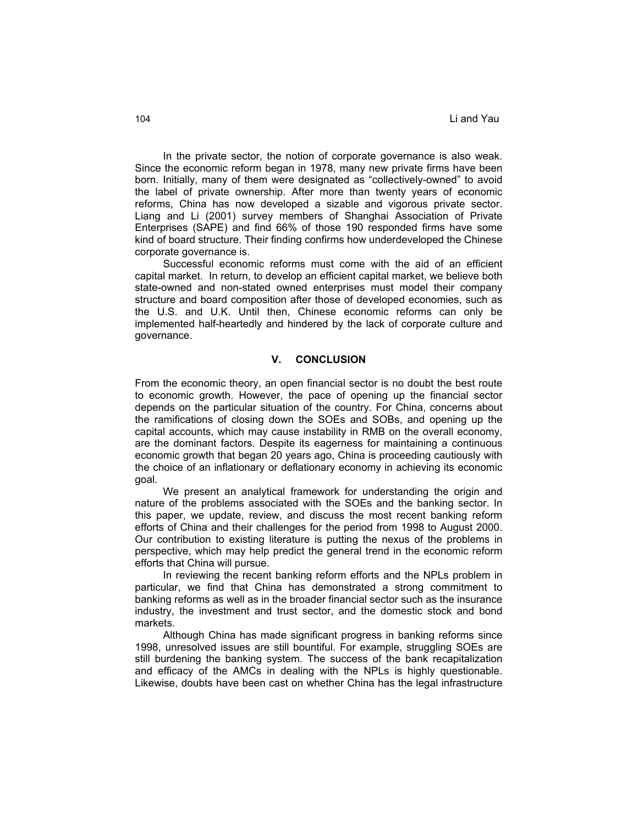In the private sector, the notion of corporate governance is also weak. Since the economic reform began in 1978, many new private firms have been born. Initially, many of them were designated as "collectively-owned" to avoid the label of private ownership. After more than twenty years of economic reforms, China has now developed a sizable and vigorous private sector. Liang and Li (2001) survey members of Shanghai Association of Private Enterprises (SAPE) and find 66% of those 190 responded firms have some kind of board structure. Their finding confirms how underdeveloped the Chinese corporate governance is.

Successful economic reforms must come with the aid of an efficient capital market. In return, to develop an efficient capital market, we believe both state-owned and non-stated owned enterprises must model their company structure and board composition after those of developed economies, such as the U.S. and U.K. Until then, Chinese economic reforms can only be implemented half-heartedly and hindered by the lack of corporate culture and governance.

#### **V. CONCLUSION**

From the economic theory, an open financial sector is no doubt the best route to economic growth. However, the pace of opening up the financial sector depends on the particular situation of the country. For China, concerns about the ramifications of closing down the SOEs and SOBs, and opening up the capital accounts, which may cause instability in RMB on the overall economy, are the dominant factors. Despite its eagerness for maintaining a continuous economic growth that began 20 years ago, China is proceeding cautiously with the choice of an inflationary or deflationary economy in achieving its economic goal.

We present an analytical framework for understanding the origin and nature of the problems associated with the SOEs and the banking sector. In this paper, we update, review, and discuss the most recent banking reform efforts of China and their challenges for the period from 1998 to August 2000. Our contribution to existing literature is putting the nexus of the problems in perspective, which may help predict the general trend in the economic reform efforts that China will pursue.

In reviewing the recent banking reform efforts and the NPLs problem in particular, we find that China has demonstrated a strong commitment to banking reforms as well as in the broader financial sector such as the insurance industry, the investment and trust sector, and the domestic stock and bond markets.

Although China has made significant progress in banking reforms since 1998, unresolved issues are still bountiful. For example, struggling SOEs are still burdening the banking system. The success of the bank recapitalization and efficacy of the AMCs in dealing with the NPLs is highly questionable. Likewise, doubts have been cast on whether China has the legal infrastructure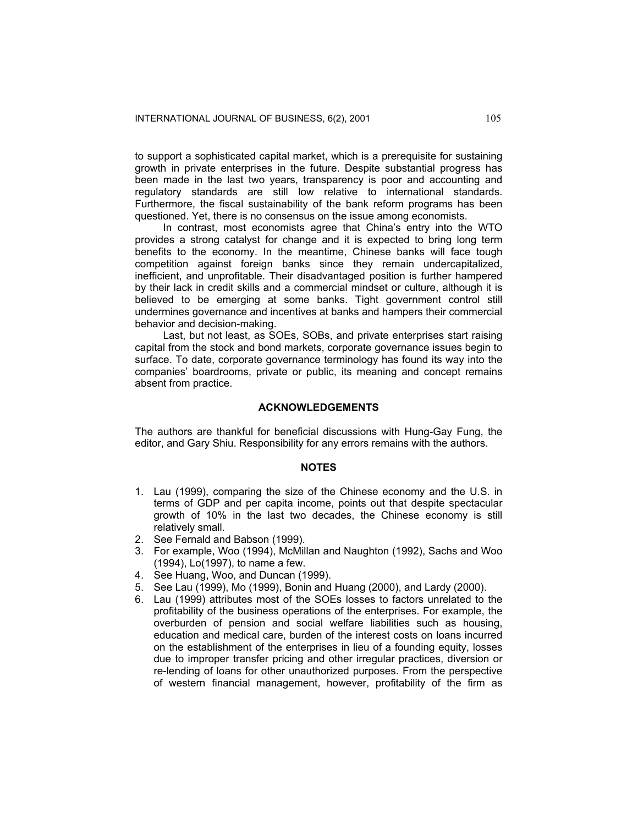to support a sophisticated capital market, which is a prerequisite for sustaining growth in private enterprises in the future. Despite substantial progress has been made in the last two years, transparency is poor and accounting and regulatory standards are still low relative to international standards. Furthermore, the fiscal sustainability of the bank reform programs has been questioned. Yet, there is no consensus on the issue among economists.

In contrast, most economists agree that China's entry into the WTO provides a strong catalyst for change and it is expected to bring long term benefits to the economy. In the meantime, Chinese banks will face tough competition against foreign banks since they remain undercapitalized, inefficient, and unprofitable. Their disadvantaged position is further hampered by their lack in credit skills and a commercial mindset or culture, although it is believed to be emerging at some banks. Tight government control still undermines governance and incentives at banks and hampers their commercial behavior and decision-making.

Last, but not least, as SOEs, SOBs, and private enterprises start raising capital from the stock and bond markets, corporate governance issues begin to surface. To date, corporate governance terminology has found its way into the companies' boardrooms, private or public, its meaning and concept remains absent from practice.

## **ACKNOWLEDGEMENTS**

The authors are thankful for beneficial discussions with Hung-Gay Fung, the editor, and Gary Shiu. Responsibility for any errors remains with the authors.

#### **NOTES**

- 1. Lau (1999), comparing the size of the Chinese economy and the U.S. in terms of GDP and per capita income, points out that despite spectacular growth of 10% in the last two decades, the Chinese economy is still relatively small.
- 2. See Fernald and Babson (1999).
- 3. For example, Woo (1994), McMillan and Naughton (1992), Sachs and Woo (1994), Lo(1997), to name a few.
- 4. See Huang, Woo, and Duncan (1999).
- 5. See Lau (1999), Mo (1999), Bonin and Huang (2000), and Lardy (2000).
- 6. Lau (1999) attributes most of the SOEs losses to factors unrelated to the profitability of the business operations of the enterprises. For example, the overburden of pension and social welfare liabilities such as housing, education and medical care, burden of the interest costs on loans incurred on the establishment of the enterprises in lieu of a founding equity, losses due to improper transfer pricing and other irregular practices, diversion or re-lending of loans for other unauthorized purposes. From the perspective of western financial management, however, profitability of the firm as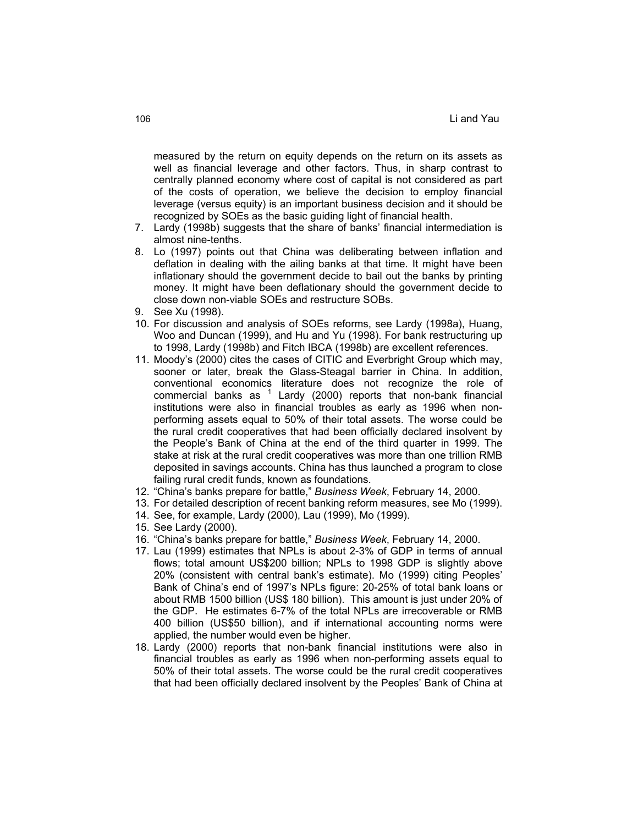measured by the return on equity depends on the return on its assets as well as financial leverage and other factors. Thus, in sharp contrast to centrally planned economy where cost of capital is not considered as part of the costs of operation, we believe the decision to employ financial leverage (versus equity) is an important business decision and it should be recognized by SOEs as the basic guiding light of financial health.

- 7. Lardy (1998b) suggests that the share of banks' financial intermediation is almost nine-tenths.
- 8. Lo (1997) points out that China was deliberating between inflation and deflation in dealing with the ailing banks at that time. It might have been inflationary should the government decide to bail out the banks by printing money. It might have been deflationary should the government decide to close down non-viable SOEs and restructure SOBs.
- 9. See Xu (1998).
- 10. For discussion and analysis of SOEs reforms, see Lardy (1998a), Huang, Woo and Duncan (1999), and Hu and Yu (1998). For bank restructuring up to 1998, Lardy (1998b) and Fitch IBCA (1998b) are excellent references.
- 11. Moody's (2000) cites the cases of CITIC and Everbright Group which may, sooner or later, break the Glass-Steagal barrier in China. In addition, conventional economics literature does not recognize the role of  $common$  commercial banks as  $1$  Lardy (2000) reports that non-bank financial institutions were also in financial troubles as early as 1996 when nonperforming assets equal to 50% of their total assets. The worse could be the rural credit cooperatives that had been officially declared insolvent by the People's Bank of China at the end of the third quarter in 1999. The stake at risk at the rural credit cooperatives was more than one trillion RMB deposited in savings accounts. China has thus launched a program to close failing rural credit funds, known as foundations.
- 12. "China's banks prepare for battle," *Business Week*, February 14, 2000.
- 13. For detailed description of recent banking reform measures, see Mo (1999).
- 14. See, for example, Lardy (2000), Lau (1999), Mo (1999).
- 15. See Lardy (2000).
- 16. "China's banks prepare for battle," *Business Week*, February 14, 2000.
- 17. Lau (1999) estimates that NPLs is about 2-3% of GDP in terms of annual flows; total amount US\$200 billion; NPLs to 1998 GDP is slightly above 20% (consistent with central bank's estimate). Mo (1999) citing Peoples' Bank of China's end of 1997's NPLs figure: 20-25% of total bank loans or about RMB 1500 billion (US\$ 180 billion). This amount is just under 20% of the GDP. He estimates 6-7% of the total NPLs are irrecoverable or RMB 400 billion (US\$50 billion), and if international accounting norms were applied, the number would even be higher.
- 18. Lardy (2000) reports that non-bank financial institutions were also in financial troubles as early as 1996 when non-performing assets equal to 50% of their total assets. The worse could be the rural credit cooperatives that had been officially declared insolvent by the Peoples' Bank of China at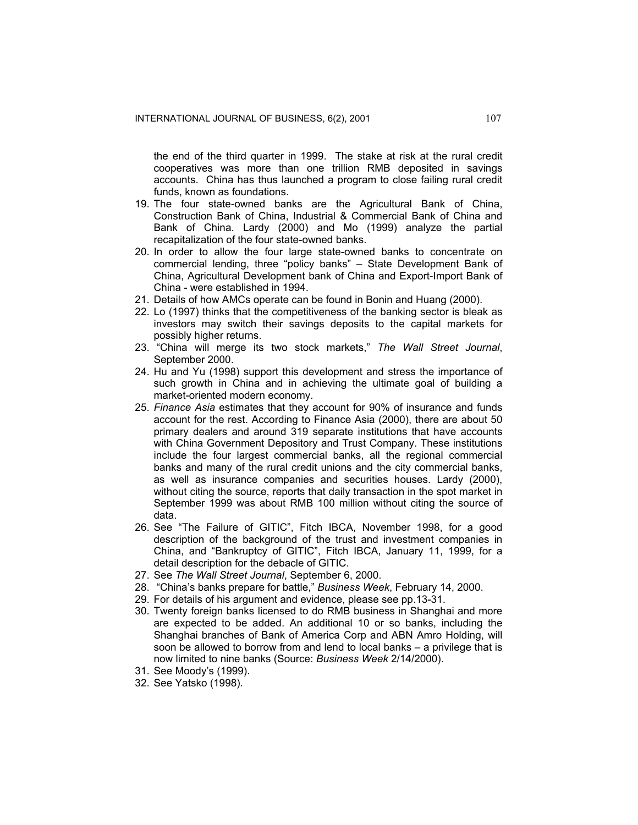the end of the third quarter in 1999. The stake at risk at the rural credit cooperatives was more than one trillion RMB deposited in savings accounts. China has thus launched a program to close failing rural credit funds, known as foundations.

- 19. The four state-owned banks are the Agricultural Bank of China, Construction Bank of China, Industrial & Commercial Bank of China and Bank of China. Lardy (2000) and Mo (1999) analyze the partial recapitalization of the four state-owned banks.
- 20. In order to allow the four large state-owned banks to concentrate on commercial lending, three "policy banks" – State Development Bank of China, Agricultural Development bank of China and Export-Import Bank of China - were established in 1994.
- 21. Details of how AMCs operate can be found in Bonin and Huang (2000).
- 22. Lo (1997) thinks that the competitiveness of the banking sector is bleak as investors may switch their savings deposits to the capital markets for possibly higher returns.
- 23. "China will merge its two stock markets," *The Wall Street Journal*, September 2000.
- 24. Hu and Yu (1998) support this development and stress the importance of such growth in China and in achieving the ultimate goal of building a market-oriented modern economy.
- 25. *Finance Asia* estimates that they account for 90% of insurance and funds account for the rest. According to Finance Asia (2000), there are about 50 primary dealers and around 319 separate institutions that have accounts with China Government Depository and Trust Company. These institutions include the four largest commercial banks, all the regional commercial banks and many of the rural credit unions and the city commercial banks, as well as insurance companies and securities houses. Lardy (2000), without citing the source, reports that daily transaction in the spot market in September 1999 was about RMB 100 million without citing the source of data.
- 26. See "The Failure of GITIC", Fitch IBCA, November 1998, for a good description of the background of the trust and investment companies in China, and "Bankruptcy of GITIC", Fitch IBCA, January 11, 1999, for a detail description for the debacle of GITIC.
- 27. See *The Wall Street Journal*, September 6, 2000.
- 28. "China's banks prepare for battle," *Business Week*, February 14, 2000.
- 29. For details of his argument and evidence, please see pp.13-31.
- 30. Twenty foreign banks licensed to do RMB business in Shanghai and more are expected to be added. An additional 10 or so banks, including the Shanghai branches of Bank of America Corp and ABN Amro Holding, will soon be allowed to borrow from and lend to local banks – a privilege that is now limited to nine banks (Source: *Business Week* 2/14/2000).
- 31. See Moody's (1999).
- 32. See Yatsko (1998).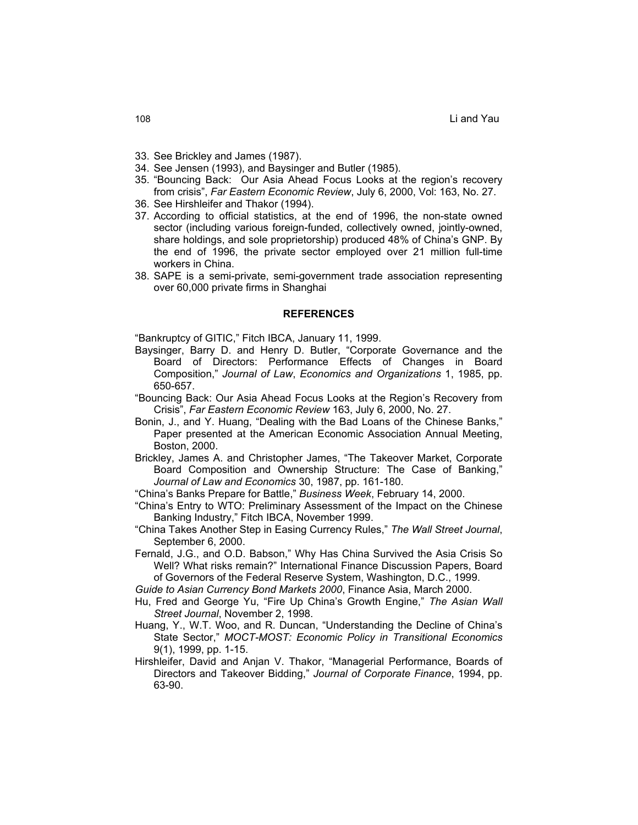- 33. See Brickley and James (1987).
- 34. See Jensen (1993), and Baysinger and Butler (1985).
- 35. "Bouncing Back: Our Asia Ahead Focus Looks at the region's recovery from crisis", *Far Eastern Economic Review*, July 6, 2000, Vol: 163, No. 27.
- 36. See Hirshleifer and Thakor (1994).
- 37. According to official statistics, at the end of 1996, the non-state owned sector (including various foreign-funded, collectively owned, jointly-owned, share holdings, and sole proprietorship) produced 48% of China's GNP. By the end of 1996, the private sector employed over 21 million full-time workers in China.
- 38. SAPE is a semi-private, semi-government trade association representing over 60,000 private firms in Shanghai

#### **REFERENCES**

"Bankruptcy of GITIC," Fitch IBCA, January 11, 1999.

- Baysinger, Barry D. and Henry D. Butler, "Corporate Governance and the Board of Directors: Performance Effects of Changes in Board Composition," *Journal of Law*, *Economics and Organizations* 1, 1985, pp. 650-657.
- "Bouncing Back: Our Asia Ahead Focus Looks at the Region's Recovery from Crisis", *Far Eastern Economic Review* 163, July 6, 2000, No. 27.
- Bonin, J., and Y. Huang, "Dealing with the Bad Loans of the Chinese Banks," Paper presented at the American Economic Association Annual Meeting, Boston, 2000.
- Brickley, James A. and Christopher James, "The Takeover Market, Corporate Board Composition and Ownership Structure: The Case of Banking," *Journal of Law and Economics* 30, 1987, pp. 161-180.
- "China's Banks Prepare for Battle," *Business Week*, February 14, 2000.
- "China's Entry to WTO: Preliminary Assessment of the Impact on the Chinese Banking Industry," Fitch IBCA, November 1999.
- "China Takes Another Step in Easing Currency Rules," *The Wall Street Journal*, September 6, 2000.
- Fernald, J.G., and O.D. Babson," Why Has China Survived the Asia Crisis So Well? What risks remain?" International Finance Discussion Papers, Board of Governors of the Federal Reserve System, Washington, D.C., 1999.
- *Guide to Asian Currency Bond Markets 2000*, Finance Asia, March 2000.
- Hu, Fred and George Yu, "Fire Up China's Growth Engine," *The Asian Wall Street Journal*, November 2, 1998.
- Huang, Y., W.T. Woo, and R. Duncan, "Understanding the Decline of China's State Sector," *MOCT-MOST: Economic Policy in Transitional Economics*  9(1), 1999, pp. 1-15.
- Hirshleifer, David and Anjan V. Thakor, "Managerial Performance, Boards of Directors and Takeover Bidding," *Journal of Corporate Finance*, 1994, pp. 63-90.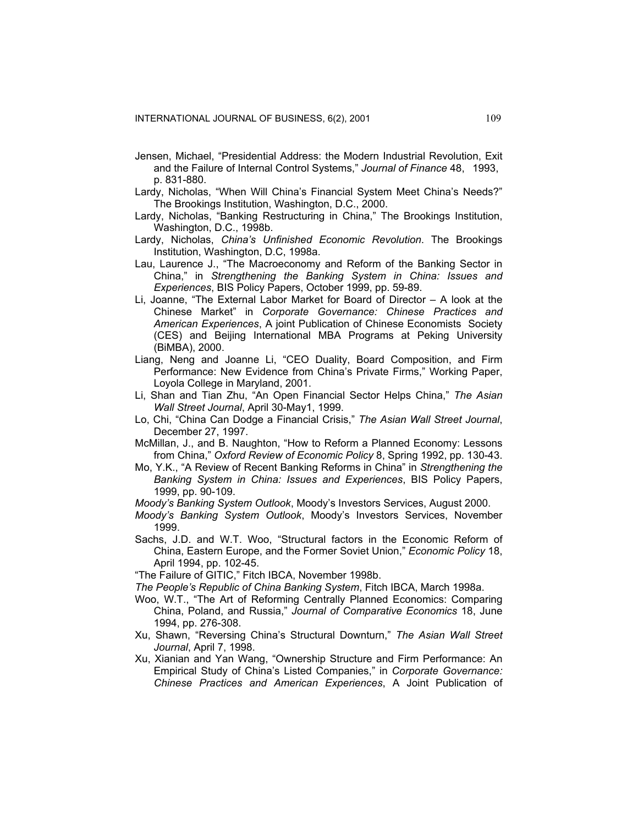- Jensen, Michael, "Presidential Address: the Modern Industrial Revolution, Exit and the Failure of Internal Control Systems," *Journal of Finance* 48, 1993, p. 831-880.
- Lardy, Nicholas, "When Will China's Financial System Meet China's Needs?" The Brookings Institution, Washington, D.C., 2000.
- Lardy, Nicholas, "Banking Restructuring in China," The Brookings Institution, Washington, D.C., 1998b.
- Lardy, Nicholas, *China's Unfinished Economic Revolution*. The Brookings Institution, Washington, D.C, 1998a.
- Lau, Laurence J., "The Macroeconomy and Reform of the Banking Sector in China," in *Strengthening the Banking System in China: Issues and Experiences*, BIS Policy Papers, October 1999, pp. 59-89.
- Li, Joanne, "The External Labor Market for Board of Director A look at the Chinese Market" in *Corporate Governance: Chinese Practices and American Experiences*, A joint Publication of Chinese Economists Society (CES) and Beijing International MBA Programs at Peking University (BiMBA), 2000.
- Liang, Neng and Joanne Li, "CEO Duality, Board Composition, and Firm Performance: New Evidence from China's Private Firms," Working Paper, Loyola College in Maryland, 2001.
- Li, Shan and Tian Zhu, "An Open Financial Sector Helps China," *The Asian Wall Street Journal*, April 30-May1, 1999.
- Lo, Chi, "China Can Dodge a Financial Crisis," *The Asian Wall Street Journal*, December 27, 1997.
- McMillan, J., and B. Naughton, "How to Reform a Planned Economy: Lessons from China," *Oxford Review of Economic Policy* 8, Spring 1992, pp. 130-43.
- Mo, Y.K., "A Review of Recent Banking Reforms in China" in *Strengthening the Banking System in China: Issues and Experiences*, BIS Policy Papers, 1999, pp. 90-109.
- *Moody's Banking System Outlook*, Moody's Investors Services, August 2000.
- *Moody's Banking System Outlook*, Moody's Investors Services, November 1999.
- Sachs, J.D. and W.T. Woo, "Structural factors in the Economic Reform of China, Eastern Europe, and the Former Soviet Union," *Economic Policy* 18, April 1994, pp. 102-45.

"The Failure of GITIC," Fitch IBCA, November 1998b.

*The People's Republic of China Banking System*, Fitch IBCA, March 1998a.

- Woo, W.T., "The Art of Reforming Centrally Planned Economics: Comparing China, Poland, and Russia," *Journal of Comparative Economics* 18, June 1994, pp. 276-308.
- Xu, Shawn, "Reversing China's Structural Downturn," *The Asian Wall Street Journal*, April 7, 1998.
- Xu, Xianian and Yan Wang, "Ownership Structure and Firm Performance: An Empirical Study of China's Listed Companies," in *Corporate Governance: Chinese Practices and American Experiences*, A Joint Publication of